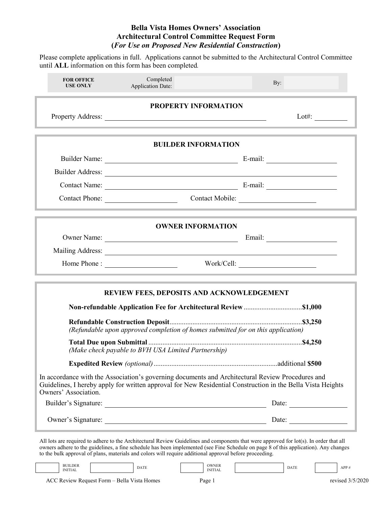Please complete applications in full. Applications cannot be submitted to the Architectural Control Committee until **ALL** information on this form has been completed*.*

| <b>FOR OFFICE</b><br><b>USE ONLY</b> | Completed<br><b>Application Date:</b>                                                                                                                                                                                                                                                                                                                                                     | By:                                                      |  |  |  |  |
|--------------------------------------|-------------------------------------------------------------------------------------------------------------------------------------------------------------------------------------------------------------------------------------------------------------------------------------------------------------------------------------------------------------------------------------------|----------------------------------------------------------|--|--|--|--|
| <b>PROPERTY INFORMATION</b>          |                                                                                                                                                                                                                                                                                                                                                                                           |                                                          |  |  |  |  |
|                                      | <u> 1989 - Johann Stein, marwolaethau a bhann an chomhair an chomhair an chomhair an chomhair an chomhair an chom</u>                                                                                                                                                                                                                                                                     | Lot#: $\qquad \qquad \qquad$                             |  |  |  |  |
|                                      | <b>BUILDER INFORMATION</b>                                                                                                                                                                                                                                                                                                                                                                |                                                          |  |  |  |  |
|                                      |                                                                                                                                                                                                                                                                                                                                                                                           |                                                          |  |  |  |  |
|                                      |                                                                                                                                                                                                                                                                                                                                                                                           |                                                          |  |  |  |  |
|                                      |                                                                                                                                                                                                                                                                                                                                                                                           |                                                          |  |  |  |  |
|                                      | Contact Phone:                                                                                                                                                                                                                                                                                                                                                                            | Contact Mobile:                                          |  |  |  |  |
|                                      | <b>OWNER INFORMATION</b>                                                                                                                                                                                                                                                                                                                                                                  |                                                          |  |  |  |  |
|                                      |                                                                                                                                                                                                                                                                                                                                                                                           |                                                          |  |  |  |  |
|                                      | Mailing Address: National Address: National Address: National Address: National Address: National Address: National Address: National Address: National Address: National Address: National Address: National Address: Nationa                                                                                                                                                            |                                                          |  |  |  |  |
|                                      |                                                                                                                                                                                                                                                                                                                                                                                           | Work/Cell:                                               |  |  |  |  |
|                                      | REVIEW FEES, DEPOSITS AND ACKNOWLEDGEMENT                                                                                                                                                                                                                                                                                                                                                 |                                                          |  |  |  |  |
|                                      | (Refundable upon approved completion of homes submitted for on this application)                                                                                                                                                                                                                                                                                                          |                                                          |  |  |  |  |
|                                      | (Make check payable to BVH USA Limited Partnership)                                                                                                                                                                                                                                                                                                                                       |                                                          |  |  |  |  |
|                                      |                                                                                                                                                                                                                                                                                                                                                                                           |                                                          |  |  |  |  |
| Owners' Association.                 | In accordance with the Association's governing documents and Architectural Review Procedures and<br>Guidelines, I hereby apply for written approval for New Residential Construction in the Bella Vista Heights                                                                                                                                                                           |                                                          |  |  |  |  |
|                                      |                                                                                                                                                                                                                                                                                                                                                                                           | Date: $\frac{1}{\sqrt{1-\frac{1}{2}} \cdot \frac{1}{2}}$ |  |  |  |  |
|                                      | Owner's Signature: <u>Conserversion and Date:</u> Date: Date:                                                                                                                                                                                                                                                                                                                             |                                                          |  |  |  |  |
|                                      | All lots are required to adhere to the Architectural Review Guidelines and components that were approved for lot(s). In order that all<br>owners adhere to the guidelines, a fine schedule has been implemented (see Fine Schedule on page 8 of this application). Any changes<br>to the bulk approval of plans, materials and colors will require additional approval before proceeding. |                                                          |  |  |  |  |

ACC Review Request Form – Bella Vista Homes Page 1 revised 3/5/2020 BUILDER BUILDER OWNER<br>INITIAL DATE DATE NITIAL INITIAL PRODUCED DATE APP #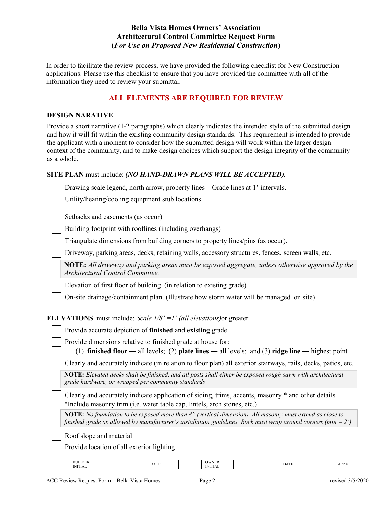In order to facilitate the review process, we have provided the following checklist for New Construction applications. Please use this checklist to ensure that you have provided the committee with all of the information they need to review your submittal.

# **ALL ELEMENTS ARE REQUIRED FOR REVIEW**

#### **DESIGN NARATIVE**

Provide a short narrative (1-2 paragraphs) which clearly indicates the intended style of the submitted design and how it will fit within the existing community design standards. This requirement is intended to provide the applicant with a moment to consider how the submitted design will work within the larger design context of the community, and to make design choices which support the design integrity of the community as a whole.

### **SITE PLAN** must include: *(NO HAND-DRAWN PLANS WILL BE ACCEPTED).*

Drawing scale legend, north arrow, property lines – Grade lines at 1' intervals.

Utility/heating/cooling equipment stub locations

Setbacks and easements (as occur)

Building footprint with rooflines (including overhangs)

Triangulate dimensions from building corners to property lines/pins (as occur).

Driveway, parking areas, decks, retaining walls, accessory structures, fences, screen walls, etc.

**NOTE:** *All driveway and parking areas must be exposed aggregate, unless otherwise approved by the Architectural Control Committee.*

Elevation of first floor of building (in relation to existing grade)

On-site drainage/containment plan. (Illustrate how storm water will be managed on site)

## **ELEVATIONS** must include: *Scale 1/8"=1' (all elevations)*or greater

| <b>EEE</b> TITIOTIO THESE HIGHES. DOME TO T THE CICTURIONS OF EFORCE                                                                                                                                                             |  |  |  |  |  |
|----------------------------------------------------------------------------------------------------------------------------------------------------------------------------------------------------------------------------------|--|--|--|--|--|
| Provide accurate depiction of finished and existing grade                                                                                                                                                                        |  |  |  |  |  |
| Provide dimensions relative to finished grade at house for:<br>(1) finished floor — all levels; (2) plate lines — all levels; and (3) ridge line — highest point                                                                 |  |  |  |  |  |
| Clearly and accurately indicate (in relation to floor plan) all exterior stairways, rails, decks, patios, etc.                                                                                                                   |  |  |  |  |  |
| NOTE: Elevated decks shall be finished, and all posts shall either be exposed rough sawn with architectural<br>grade hardware, or wrapped per community standards                                                                |  |  |  |  |  |
| Clearly and accurately indicate application of siding, trims, accents, masonry * and other details<br>*Include masonry trim (i.e. water table cap, lintels, arch stones, etc.)                                                   |  |  |  |  |  |
| <b>NOTE:</b> No foundation to be exposed more than 8" (vertical dimension). All masonry must extend as close to<br>finished grade as allowed by manufacturer's installation guidelines. Rock must wrap around corners (min = 2') |  |  |  |  |  |
| Roof slope and material<br>Provide location of all exterior lighting                                                                                                                                                             |  |  |  |  |  |
| <b>BUILDER</b><br><b>OWNER</b><br><b>DATE</b><br><b>DATE</b><br>APP#<br><b>INITIAL</b><br><b>INITIAL</b>                                                                                                                         |  |  |  |  |  |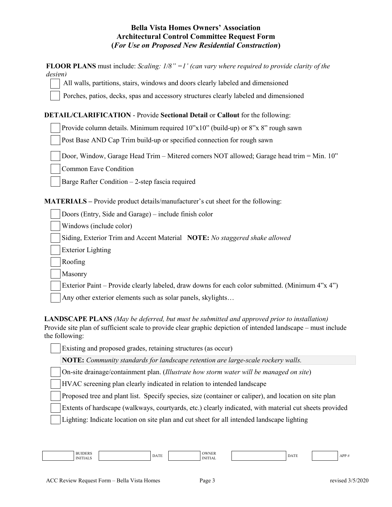| <b>FLOOR PLANS</b> must include: Scaling: $1/8$ " = 1' (can vary where required to provide clarity of the<br>design)                                                                                                                                                                                                                                                                                                                                                       |
|----------------------------------------------------------------------------------------------------------------------------------------------------------------------------------------------------------------------------------------------------------------------------------------------------------------------------------------------------------------------------------------------------------------------------------------------------------------------------|
| All walls, partitions, stairs, windows and doors clearly labeled and dimensioned                                                                                                                                                                                                                                                                                                                                                                                           |
| Porches, patios, decks, spas and accessory structures clearly labeled and dimensioned                                                                                                                                                                                                                                                                                                                                                                                      |
| <b>DETAIL/CLARIFICATION - Provide Sectional Detail or Callout for the following:</b>                                                                                                                                                                                                                                                                                                                                                                                       |
| Provide column details. Minimum required 10"x10" (build-up) or 8"x 8" rough sawn                                                                                                                                                                                                                                                                                                                                                                                           |
| Post Base AND Cap Trim build-up or specified connection for rough sawn                                                                                                                                                                                                                                                                                                                                                                                                     |
| Door, Window, Garage Head Trim - Mitered corners NOT allowed; Garage head trim = Min. 10"                                                                                                                                                                                                                                                                                                                                                                                  |
| Common Eave Condition                                                                                                                                                                                                                                                                                                                                                                                                                                                      |
| Barge Rafter Condition $-2$ -step fascia required                                                                                                                                                                                                                                                                                                                                                                                                                          |
| <b>MATERIALS</b> – Provide product details/manufacturer's cut sheet for the following:                                                                                                                                                                                                                                                                                                                                                                                     |
| Doors (Entry, Side and Garage) – include finish color                                                                                                                                                                                                                                                                                                                                                                                                                      |
| Windows (include color)                                                                                                                                                                                                                                                                                                                                                                                                                                                    |
| Siding, Exterior Trim and Accent Material NOTE: No staggered shake allowed                                                                                                                                                                                                                                                                                                                                                                                                 |
| <b>Exterior Lighting</b>                                                                                                                                                                                                                                                                                                                                                                                                                                                   |
| Roofing                                                                                                                                                                                                                                                                                                                                                                                                                                                                    |
| Masonry                                                                                                                                                                                                                                                                                                                                                                                                                                                                    |
| Exterior Paint – Provide clearly labeled, draw downs for each color submitted. (Minimum 4"x 4")                                                                                                                                                                                                                                                                                                                                                                            |
| Any other exterior elements such as solar panels, skylights                                                                                                                                                                                                                                                                                                                                                                                                                |
| <b>LANDSCAPE PLANS</b> (May be deferred, but must be submitted and approved prior to installation)<br>Provide site plan of sufficient scale to provide clear graphic depiction of intended landscape – must include<br>the following:<br>$\frac{1}{2}$ . The state of the state of the state of the state of the state of the state of the state of the state of the state of the state of the state of the state of the state of the state of the state of the state of t |

Existing and proposed grades, retaining structures (as occur)

**NOTE:** *Community standards for landscape retention are large-scale rockery walls.*

On-site drainage/containment plan. (*Illustrate how storm water will be managed on site*)

HVAC screening plan clearly indicated in relation to intended landscape

Proposed tree and plant list. Specify species, size (container or caliper), and location on site plan

Extents of hardscape (walkways, courtyards, etc.) clearly indicated, with material cut sheets provided

Lighting: Indicate location on site plan and cut sheet for all intended landscape lighting

| . | <b>BUIDERS</b><br><b>IMIT</b> |  | 1.0001<br>DAIE |  | OWNER<br>$1$ INIT<br>ITIAL |  | $P_{\rm A}$<br>DATE |  | APP |
|---|-------------------------------|--|----------------|--|----------------------------|--|---------------------|--|-----|
|---|-------------------------------|--|----------------|--|----------------------------|--|---------------------|--|-----|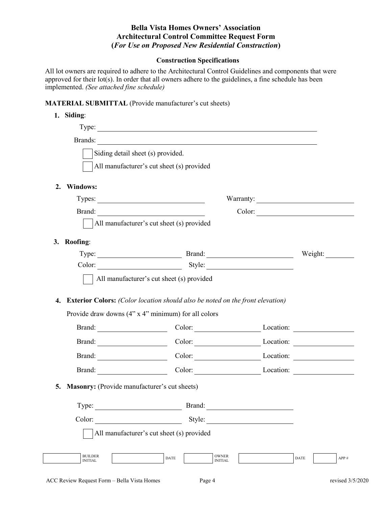# **Construction Specifications**

All lot owners are required to adhere to the Architectural Control Guidelines and components that were approved for their lot(s). In order that all owners adhere to the guidelines, a fine schedule has been implemented. *(See attached fine schedule)*

## **MATERIAL SUBMITTAL** (Provide manufacturer's cut sheets)

|                                              | Siding detail sheet (s) provided.                                                                                                 |                                                                                                                                                                                                                                |         |
|----------------------------------------------|-----------------------------------------------------------------------------------------------------------------------------------|--------------------------------------------------------------------------------------------------------------------------------------------------------------------------------------------------------------------------------|---------|
|                                              | All manufacturer's cut sheet (s) provided                                                                                         |                                                                                                                                                                                                                                |         |
| <b>Windows:</b><br>2.                        |                                                                                                                                   |                                                                                                                                                                                                                                |         |
|                                              | Types: Types:                                                                                                                     |                                                                                                                                                                                                                                |         |
|                                              |                                                                                                                                   |                                                                                                                                                                                                                                |         |
|                                              | All manufacturer's cut sheet (s) provided                                                                                         |                                                                                                                                                                                                                                |         |
| Roofing:<br>3.                               |                                                                                                                                   |                                                                                                                                                                                                                                |         |
|                                              | Type: Brand: Brand:                                                                                                               |                                                                                                                                                                                                                                | Weight: |
|                                              |                                                                                                                                   |                                                                                                                                                                                                                                |         |
|                                              |                                                                                                                                   |                                                                                                                                                                                                                                |         |
| 4.                                           | All manufacturer's cut sheet (s) provided<br><b>Exterior Colors:</b> (Color location should also be noted on the front elevation) |                                                                                                                                                                                                                                |         |
|                                              | Provide draw downs (4" x 4" minimum) for all colors                                                                               |                                                                                                                                                                                                                                |         |
|                                              | Brand: Color: Color: Location: Location:                                                                                          |                                                                                                                                                                                                                                |         |
|                                              | Brand: Color: Color: Location: Location:                                                                                          |                                                                                                                                                                                                                                |         |
|                                              | Brand: Color: Color: Location: Location:<br>Brand: Color: Color: Location: Location:                                              |                                                                                                                                                                                                                                |         |
| Masonry: (Provide manufacturer's cut sheets) |                                                                                                                                   |                                                                                                                                                                                                                                |         |
| Type:                                        |                                                                                                                                   | Brand: The Communication of the Communication of the Communication of the Communication of the Communication of the Communication of the Communication of the Communication of the Communication of the Communication of the C |         |
| Color:                                       |                                                                                                                                   |                                                                                                                                                                                                                                |         |
| 5.                                           | All manufacturer's cut sheet (s) provided                                                                                         | Style:                                                                                                                                                                                                                         |         |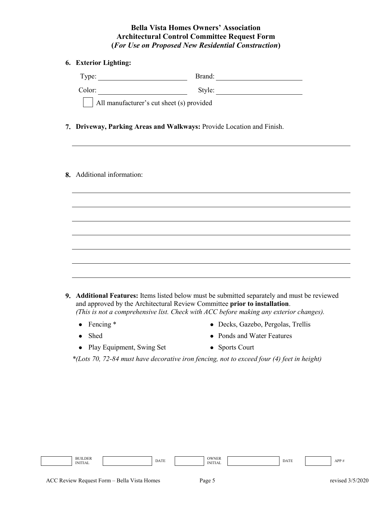## **6. Exterior Lighting:**

| Type:                                     | Brand: |
|-------------------------------------------|--------|
| Color:                                    | Style: |
| All manufacturer's cut sheet (s) provided |        |

- **7. Driveway, Parking Areas and Walkways:** Provide Location and Finish.
- **8.** Additional information:

| <b>9.</b> Additional Features: Items listed below must be submitted separately and must be reviewed |
|-----------------------------------------------------------------------------------------------------|
| and approved by the Architectural Review Committee <b>prior to installation</b> .                   |
| (This is not a comprehensive list. Check with ACC before making any exterior changes).              |

- 
- Fencing \* Person Contact Fencing \* Pecks, Gazebo, Pergolas, Trellis
- Shed Ponds and Water Features
	-

• Play Equipment, Swing Set • Sports Court

*\*(Lots 70, 72-84 must have decorative iron fencing, not to exceed four (4) feet in height)*

BUILDER BUILDER OWNER<br>INITIAL DATE DATE NITIAL INITIAL PARTE DATE APP #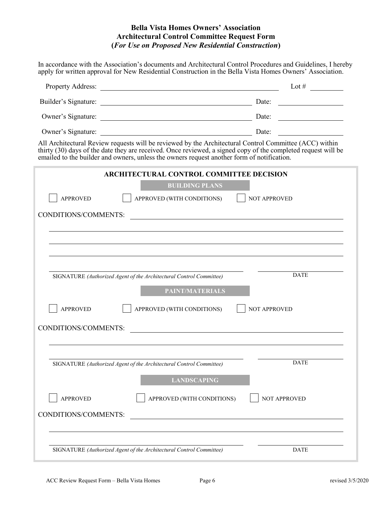In accordance with the Association's documents and Architectural Control Procedures and Guidelines, I hereby apply for written approval for New Residential Construction in the Bella Vista Homes Owners' Association.

| Property Address: <u>Contract of the Secretary Address</u>                                                                                                                                                                                                                                                            | Lot $#$             |
|-----------------------------------------------------------------------------------------------------------------------------------------------------------------------------------------------------------------------------------------------------------------------------------------------------------------------|---------------------|
|                                                                                                                                                                                                                                                                                                                       |                     |
|                                                                                                                                                                                                                                                                                                                       |                     |
|                                                                                                                                                                                                                                                                                                                       |                     |
| All Architectural Review requests will be reviewed by the Architectural Control Committee (ACC) within<br>thirty (30) days of the date they are received. Once reviewed, a signed copy of the completed request will be<br>emailed to the builder and owners, unless the owners request another form of notification. |                     |
| ARCHITECTURAL CONTROL COMMITTEE DECISION                                                                                                                                                                                                                                                                              |                     |
| <b>BUILDING PLANS</b>                                                                                                                                                                                                                                                                                                 |                     |
| APPROVED (WITH CONDITIONS)<br><b>APPROVED</b>                                                                                                                                                                                                                                                                         | NOT APPROVED        |
| CONDITIONS/COMMENTS:<br><u> 1980 - Andrea Station Barbara, amerikan personal (h. 1980).</u>                                                                                                                                                                                                                           |                     |
|                                                                                                                                                                                                                                                                                                                       |                     |
|                                                                                                                                                                                                                                                                                                                       |                     |
|                                                                                                                                                                                                                                                                                                                       |                     |
|                                                                                                                                                                                                                                                                                                                       |                     |
| SIGNATURE (Authorized Agent of the Architectural Control Committee)                                                                                                                                                                                                                                                   | <b>DATE</b>         |
| <b>PAINT/MATERIALS</b>                                                                                                                                                                                                                                                                                                |                     |
| <b>APPROVED</b><br>APPROVED (WITH CONDITIONS)                                                                                                                                                                                                                                                                         | <b>NOT APPROVED</b> |
|                                                                                                                                                                                                                                                                                                                       |                     |
| CONDITIONS/COMMENTS:                                                                                                                                                                                                                                                                                                  |                     |
|                                                                                                                                                                                                                                                                                                                       |                     |
| SIGNATURE (Authorized Agent of the Architectural Control Committee)                                                                                                                                                                                                                                                   | <b>DATE</b>         |
| <b>LANDSCAPING</b>                                                                                                                                                                                                                                                                                                    |                     |
|                                                                                                                                                                                                                                                                                                                       |                     |
| <b>APPROVED</b><br>APPROVED (WITH CONDITIONS)                                                                                                                                                                                                                                                                         | <b>NOT APPROVED</b> |
| CONDITIONS/COMMENTS:                                                                                                                                                                                                                                                                                                  |                     |
|                                                                                                                                                                                                                                                                                                                       |                     |
|                                                                                                                                                                                                                                                                                                                       |                     |
| SIGNATURE (Authorized Agent of the Architectural Control Committee)                                                                                                                                                                                                                                                   | <b>DATE</b>         |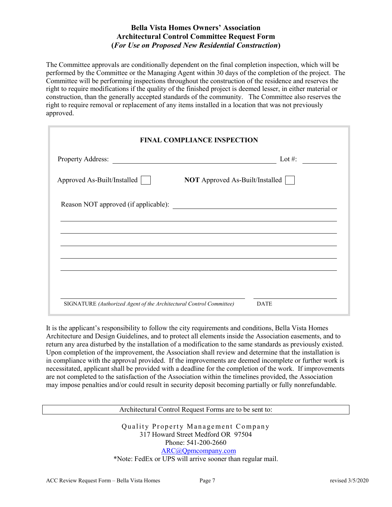The Committee approvals are conditionally dependent on the final completion inspection, which will be performed by the Committee or the Managing Agent within 30 days of the completion of the project. The Committee will be performing inspections throughout the construction of the residence and reserves the right to require modifications if the quality of the finished project is deemed lesser, in either material or construction, than the generally accepted standards of the community. The Committee also reserves the right to require removal or replacement of any items installed in a location that was not previously approved.

|                                                                     | <b>FINAL COMPLIANCE INSPECTION</b>     |
|---------------------------------------------------------------------|----------------------------------------|
| Property Address:                                                   | Lot #:                                 |
| Approved As-Built/Installed                                         | <b>NOT</b> Approved As-Built/Installed |
|                                                                     |                                        |
|                                                                     |                                        |
|                                                                     |                                        |
|                                                                     |                                        |
|                                                                     |                                        |
| SIGNATURE (Authorized Agent of the Architectural Control Committee) | <b>DATE</b>                            |

It is the applicant's responsibility to follow the city requirements and conditions, Bella Vista Homes Architecture and Design Guidelines, and to protect all elements inside the Association easements, and to return any area disturbed by the installation of a modification to the same standards as previously existed. Upon completion of the improvement, the Association shall review and determine that the installation is in compliance with the approval provided. If the improvements are deemed incomplete or further work is necessitated, applicant shall be provided with a deadline for the completion of the work. If improvements are not completed to the satisfaction of the Association within the timelines provided, the Association may impose penalties and/or could result in security deposit becoming partially or fully nonrefundable.

Architectural Control Request Forms are to be sent to:

Quality Property Management Company 317 Howard Street Medford OR 97504 Phone: 541-200-2660 [ARC@Qpmcompany.com](mailto:ARC@Qpmcompany.com) \*Note: FedEx or UPS will arrive sooner than regular mail.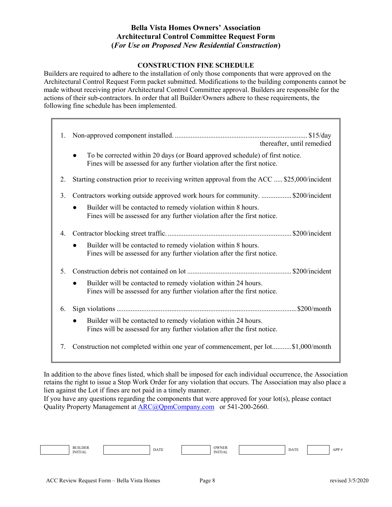## **CONSTRUCTION FINE SCHEDULE**

Builders are required to adhere to the installation of only those components that were approved on the Architectural Control Request Form packet submitted. Modifications to the building components cannot be made without receiving prior Architectural Control Committee approval. Builders are responsible for the actions of their sub-contractors. In order that all Builder/Owners adhere to these requirements, the following fine schedule has been implemented.

| 1. | thereafter, until remedied                                                                                                                               |
|----|----------------------------------------------------------------------------------------------------------------------------------------------------------|
|    | To be corrected within 20 days (or Board approved schedule) of first notice.<br>Fines will be assessed for any further violation after the first notice. |
| 2. | Starting construction prior to receiving written approval from the ACC  \$25,000/incident                                                                |
| 3. | Contractors working outside approved work hours for community.  \$200/incident                                                                           |
|    | Builder will be contacted to remedy violation within 8 hours.<br>Fines will be assessed for any further violation after the first notice.                |
| 4. |                                                                                                                                                          |
|    | Builder will be contacted to remedy violation within 8 hours.<br>Fines will be assessed for any further violation after the first notice.                |
| 5. |                                                                                                                                                          |
|    | Builder will be contacted to remedy violation within 24 hours.<br>Fines will be assessed for any further violation after the first notice.               |
| 6. |                                                                                                                                                          |
|    | Builder will be contacted to remedy violation within 24 hours.<br>Fines will be assessed for any further violation after the first notice.               |
|    | 7. Construction not completed within one year of commencement, per lot\$1,000/month                                                                      |

In addition to the above fines listed, which shall be imposed for each individual occurrence, the Association retains the right to issue a Stop Work Order for any violation that occurs. The Association may also place a lien against the Lot if fines are not paid in a timely manner.

If you have any questions regarding the components that were approved for your lot(s), please contact Quality Property Management at [ARC@QpmCompany.com](mailto:ARC@QpmCompany.com) or 541-200-2660.

| <b>LDER</b><br><b>BUI</b><br><b>INIT</b><br>NHIAL | DATE | OWNER<br><b>INIT</b><br><b>INITIAL</b> | <b>COLUMN</b><br>1) A | APP |
|---------------------------------------------------|------|----------------------------------------|-----------------------|-----|
|                                                   |      |                                        |                       |     |